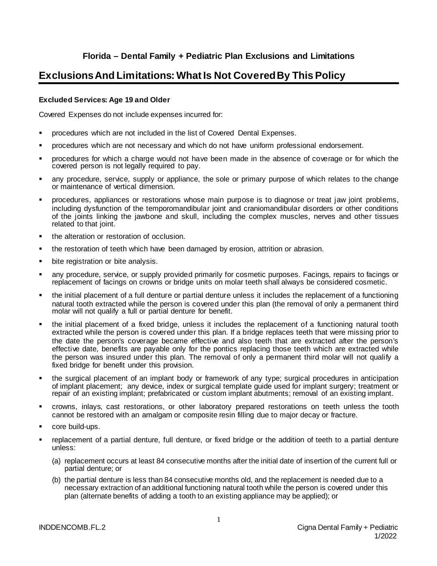# **Florida – Dental Family + Pediatric Plan Exclusions and Limitations**

# **Exclusions And Limitations: What Is Not Covered By This Policy**

# **Excluded Services: Age 19 and Older**

Covered Expenses do not include expenses incurred for:

- procedures which are not included in the list of Covered Dental Expenses.
- procedures which are not necessary and which do not have uniform professional endorsement.
- procedures for which a charge would not have been made in the absence of coverage or for which the covered person is not legally required to pay.
- any procedure, service, supply or appliance, the sole or primary purpose of which relates to the change or maintenance of vertical dimension.
- procedures, appliances or restorations whose main purpose is to diagnose or treat jaw joint problems, including dysfunction of the temporomandibular joint and craniomandibular disorders or other conditions of the joints linking the jawbone and skull, including the complex muscles, nerves and other tissues related to that joint.
- the alteration or restoration of occlusion.
- the restoration of teeth which have been damaged by erosion, attrition or abrasion.
- bite registration or bite analysis.
- any procedure, service, or supply provided primarily for cosmetic purposes. Facings, repairs to facings or replacement of facings on crowns or bridge units on molar teeth shall always be considered cosmetic.
- the initial placement of a full denture or partial denture unless it includes the replacement of a functioning natural tooth extracted while the person is covered under this plan (the removal of only a permanent third molar will not qualify a full or partial denture for benefit.
- the initial placement of a fixed bridge, unless it includes the replacement of a functioning natural tooth extracted while the person is covered under this plan. If a bridge replaces teeth that were missing prior to the date the person's coverage became effective and also teeth that are extracted after the person's effective date, benefits are payable only for the pontics replacing those teeth which are extracted while the person was insured under this plan. The removal of only a permanent third molar will not qualify a fixed bridge for benefit under this provision.
- the surgical placement of an implant body or framework of any type; surgical procedures in anticipation of implant placement; any device, index or surgical template guide used for implant surgery; treatment or repair of an existing implant; prefabricated or custom implant abutments; removal of an existing implant.
- crowns, inlays, cast restorations, or other laboratory prepared restorations on teeth unless the tooth cannot be restored with an amalgam or composite resin filling due to major decay or fracture.
- core build-ups.
- replacement of a partial denture, full denture, or fixed bridge or the addition of teeth to a partial denture unless:
	- (a) replacement occurs at least 84 consecutive months after the initial date of insertion of the current full or partial denture; or
	- (b) the partial denture is less than 84 consecutive months old, and the replacement is needed due to a necessary extraction of an additional functioning natural tooth while the person is covered under this plan (alternate benefits of adding a tooth to an existing appliance may be applied); or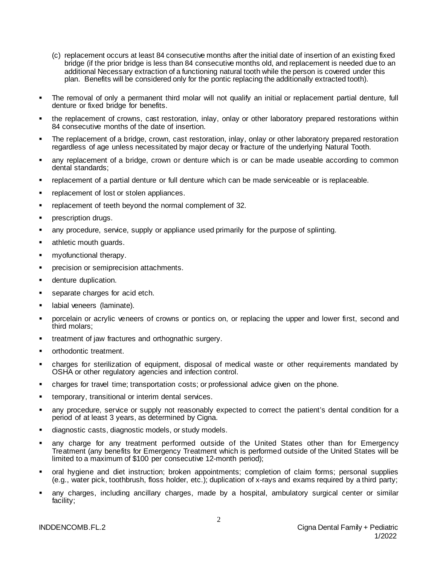- (c) replacement occurs at least 84 consecutive months after the initial date of insertion of an existing fixed bridge (if the prior bridge is less than 84 consecutive months old, and replacement is needed due to an additional Necessary extraction of a functioning natural tooth while the person is covered under this plan. Benefits will be considered only for the pontic replacing the additionally extracted tooth).
- The removal of only a permanent third molar will not qualify an initial or replacement partial denture, full denture or fixed bridge for benefits.
- the replacement of crowns, cast restoration, inlay, onlay or other laboratory prepared restorations within 84 consecutive months of the date of insertion.
- The replacement of a bridge, crown, cast restoration, inlay, onlay or other laboratory prepared restoration regardless of age unless necessitated by major decay or fracture of the underlying Natural Tooth.
- any replacement of a bridge, crown or denture which is or can be made useable according to common dental standards;
- replacement of a partial denture or full denture which can be made serviceable or is replaceable.
- replacement of lost or stolen appliances.
- replacement of teeth beyond the normal complement of 32.
- prescription drugs.
- any procedure, service, supply or appliance used primarily for the purpose of splinting.
- athletic mouth guards.
- myofunctional therapy.
- precision or semiprecision attachments.
- denture duplication.
- separate charges for acid etch.
- labial veneers (laminate).
- porcelain or acrylic veneers of crowns or pontics on, or replacing the upper and lower first, second and third molars;
- treatment of jaw fractures and orthognathic surgery.
- orthodontic treatment.
- charges for sterilization of equipment, disposal of medical waste or other requirements mandated by OSHA or other regulatory agencies and infection control.
- charges for travel time; transportation costs; or professional advice given on the phone.
- temporary, transitional or interim dental services.
- any procedure, service or supply not reasonably expected to correct the patient's dental condition for a period of at least 3 years, as determined by Cigna.
- diagnostic casts, diagnostic models, or study models.
- any charge for any treatment performed outside of the United States other than for Emergency Treatment (any benefits for Emergency Treatment which is performed outside of the United States will be limited to a maximum of \$100 per consecutive 12-month period);
- oral hygiene and diet instruction; broken appointments; completion of claim forms; personal supplies (e.g., water pick, toothbrush, floss holder, etc.); duplication of x-rays and exams required by a third party;
- any charges, including ancillary charges, made by a hospital, ambulatory surgical center or similar facility;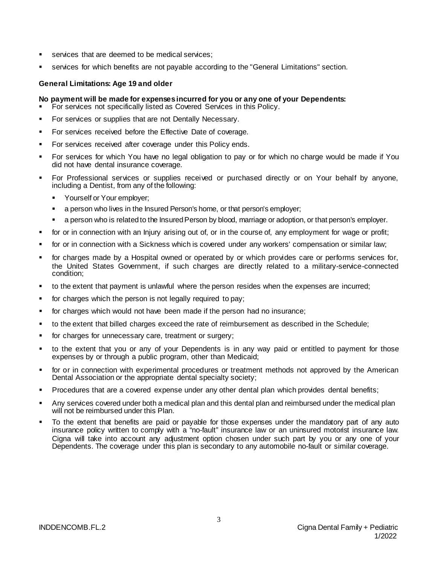- services that are deemed to be medical services;
- services for which benefits are not payable according to the "General Limitations" section.

#### **General Limitations: Age 19 and older**

#### **No payment will be made for expenses incurred for you or any one of your Dependents:**

- For services not specifically listed as Covered Services in this Policy.
- For services or supplies that are not Dentally Necessary.
- For services received before the Effective Date of coverage.
- For services received after coverage under this Policy ends.
- For services for which You have no legal obligation to pay or for which no charge would be made if You did not have dental insurance coverage.
- For Professional services or supplies received or purchased directly or on Your behalf by anyone, including a Dentist, from any of the following:
	- **Yourself or Your employer:**
	- a person who lives in the Insured Person's home, or that person's employer;
	- a person who is related to the Insured Person by blood, marriage or adoption, or that person's employer.
- for or in connection with an Injury arising out of, or in the course of, any employment for wage or profit;
- for or in connection with a Sickness which is covered under any workers' compensation or similar law;
- for charges made by a Hospital owned or operated by or which provides care or performs services for, the United States Government, if such charges are directly related to a military-service-connected condition;
- to the extent that payment is unlawful where the person resides when the expenses are incurred;
- for charges which the person is not legally required to pay;
- for charges which would not have been made if the person had no insurance;
- to the extent that billed charges exceed the rate of reimbursement as described in the Schedule;
- for charges for unnecessary care, treatment or surgery;
- to the extent that you or any of your Dependents is in any way paid or entitled to payment for those expenses by or through a public program, other than Medicaid;
- for or in connection with experimental procedures or treatment methods not approved by the American Dental Association or the appropriate dental specialty society;
- Procedures that are a covered expense under any other dental plan which provides dental benefits;
- Any services covered under both a medical plan and this dental plan and reimbursed under the medical plan will not be reimbursed under this Plan.
- To the extent that benefits are paid or payable for those expenses under the mandatory part of any auto insurance policy written to comply with a "no-fault" insurance law or an uninsured motorist insurance law. Cigna will take into account any adjustment option chosen under such part by you or any one of your Dependents. The coverage under this plan is secondary to any automobile no-fault or similar coverage.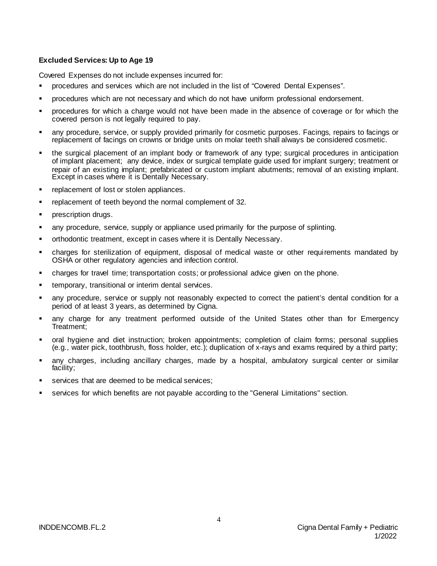# **Excluded Services: Up to Age 19**

Covered Expenses do not include expenses incurred for:

- procedures and services which are not included in the list of "Covered Dental Expenses".
- procedures which are not necessary and which do not have uniform professional endorsement.
- procedures for which a charge would not have been made in the absence of coverage or for which the covered person is not legally required to pay.
- any procedure, service, or supply provided primarily for cosmetic purposes. Facings, repairs to facings or replacement of facings on crowns or bridge units on molar teeth shall always be considered cosmetic.
- the surgical placement of an implant body or framework of any type; surgical procedures in anticipation of implant placement; any device, index or surgical template guide used for implant surgery; treatment or repair of an existing implant; prefabricated or custom implant abutments; removal of an existing implant. Except in cases where it is Dentally Necessary.
- replacement of lost or stolen appliances.
- replacement of teeth beyond the normal complement of 32.
- prescription drugs.
- any procedure, service, supply or appliance used primarily for the purpose of splinting.
- orthodontic treatment, except in cases where it is Dentally Necessary.
- charges for sterilization of equipment, disposal of medical waste or other requirements mandated by OSHA or other regulatory agencies and infection control.
- charges for travel time; transportation costs; or professional advice given on the phone.
- temporary, transitional or interim dental services.
- any procedure, service or supply not reasonably expected to correct the patient's dental condition for a period of at least 3 years, as determined by Cigna.
- any charge for any treatment performed outside of the United States other than for Emergency Treatment;
- oral hygiene and diet instruction; broken appointments; completion of claim forms; personal supplies (e.g., water pick, toothbrush, floss holder, etc.); duplication of x-rays and exams required by a third party;
- any charges, including ancillary charges, made by a hospital, ambulatory surgical center or similar facility;
- services that are deemed to be medical services;
- services for which benefits are not payable according to the "General Limitations" section.